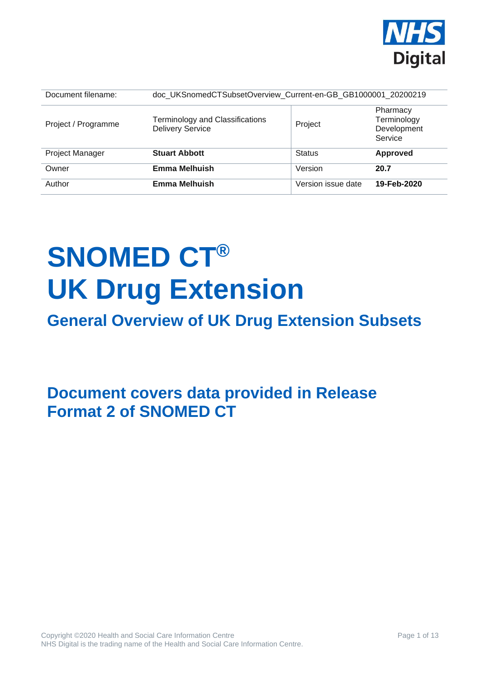

| Document filename:     | doc_UKSnomedCTSubsetOverview_Current-en-GB_GB1000001_20200219     |                    |                                                   |
|------------------------|-------------------------------------------------------------------|--------------------|---------------------------------------------------|
| Project / Programme    | <b>Terminology and Classifications</b><br><b>Delivery Service</b> | Project            | Pharmacy<br>Terminology<br>Development<br>Service |
| <b>Project Manager</b> | <b>Stuart Abbott</b>                                              | <b>Status</b>      | Approved                                          |
| Owner                  | Emma Melhuish                                                     | Version            | 20.7                                              |
| Author                 | <b>Emma Melhuish</b>                                              | Version issue date | 19-Feb-2020                                       |

# **SNOMED CT® UK Drug Extension**

## **General Overview of UK Drug Extension Subsets**

**Document covers data provided in Release Format 2 of SNOMED CT**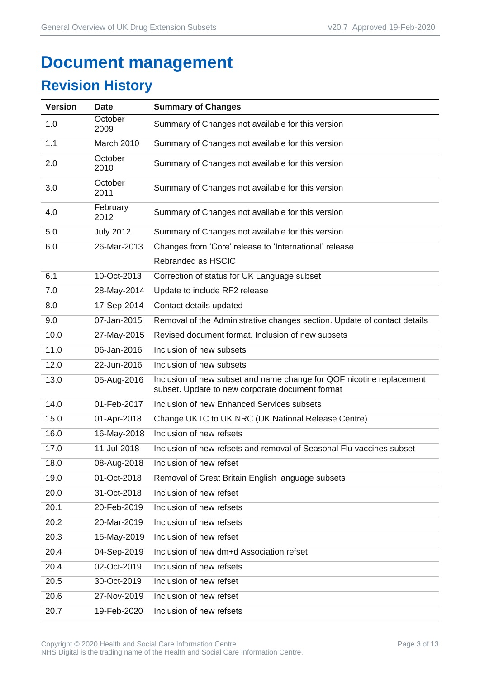## **Document management**

## **Revision History**

| <b>Version</b> | <b>Date</b>      | <b>Summary of Changes</b>                                                                                               |
|----------------|------------------|-------------------------------------------------------------------------------------------------------------------------|
| 1.0            | October<br>2009  | Summary of Changes not available for this version                                                                       |
| 1.1            | March 2010       | Summary of Changes not available for this version                                                                       |
| 2.0            | October<br>2010  | Summary of Changes not available for this version                                                                       |
| 3.0            | October<br>2011  | Summary of Changes not available for this version                                                                       |
| 4.0            | February<br>2012 | Summary of Changes not available for this version                                                                       |
| 5.0            | <b>July 2012</b> | Summary of Changes not available for this version                                                                       |
| 6.0            | 26-Mar-2013      | Changes from 'Core' release to 'International' release                                                                  |
|                |                  | Rebranded as HSCIC                                                                                                      |
| 6.1            | 10-Oct-2013      | Correction of status for UK Language subset                                                                             |
| 7.0            | 28-May-2014      | Update to include RF2 release                                                                                           |
| 8.0            | 17-Sep-2014      | Contact details updated                                                                                                 |
| 9.0            | 07-Jan-2015      | Removal of the Administrative changes section. Update of contact details                                                |
| 10.0           | 27-May-2015      | Revised document format. Inclusion of new subsets                                                                       |
| 11.0           | 06-Jan-2016      | Inclusion of new subsets                                                                                                |
| 12.0           | 22-Jun-2016      | Inclusion of new subsets                                                                                                |
| 13.0           | 05-Aug-2016      | Inclusion of new subset and name change for QOF nicotine replacement<br>subset. Update to new corporate document format |
| 14.0           | 01-Feb-2017      | Inclusion of new Enhanced Services subsets                                                                              |
| 15.0           | 01-Apr-2018      | Change UKTC to UK NRC (UK National Release Centre)                                                                      |
| 16.0           | 16-May-2018      | Inclusion of new refsets                                                                                                |
| 17.0           | 11-Jul-2018      | Inclusion of new refsets and removal of Seasonal Flu vaccines subset                                                    |
| 18.0           | 08-Aug-2018      | Inclusion of new refset                                                                                                 |
| 19.0           | 01-Oct-2018      | Removal of Great Britain English language subsets                                                                       |
| 20.0           | 31-Oct-2018      | Inclusion of new refset                                                                                                 |
| 20.1           | 20-Feb-2019      | Inclusion of new refsets                                                                                                |
| 20.2           | 20-Mar-2019      | Inclusion of new refsets                                                                                                |
| 20.3           | 15-May-2019      | Inclusion of new refset                                                                                                 |
| 20.4           | 04-Sep-2019      | Inclusion of new dm+d Association refset                                                                                |
| 20.4           | 02-Oct-2019      | Inclusion of new refsets                                                                                                |
| 20.5           | 30-Oct-2019      | Inclusion of new refset                                                                                                 |
| 20.6           | 27-Nov-2019      | Inclusion of new refset                                                                                                 |
| 20.7           | 19-Feb-2020      | Inclusion of new refsets                                                                                                |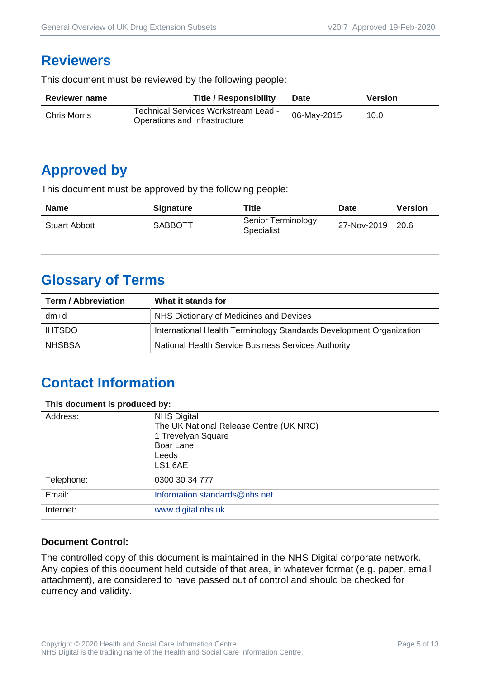#### **Reviewers**

This document must be reviewed by the following people:

| <b>Reviewer name</b> | <b>Title / Responsibility</b>                                         | <b>Date</b> | Version |
|----------------------|-----------------------------------------------------------------------|-------------|---------|
| <b>Chris Morris</b>  | Technical Services Workstream Lead -<br>Operations and Infrastructure | 06-May-2015 | 10.0    |

#### **Approved by**

This document must be approved by the following people:

| <b>Name</b>          | <b>Signature</b> | ™itle                            | <b>Date</b>      | <b>Version</b> |
|----------------------|------------------|----------------------------------|------------------|----------------|
| <b>Stuart Abbott</b> | <b>SABBOTT</b>   | Senior Terminology<br>Specialist | 27-Nov-2019 20.6 |                |

## **Glossary of Terms**

| <b>Term / Abbreviation</b> | What it stands for                                                  |
|----------------------------|---------------------------------------------------------------------|
| dm+d                       | NHS Dictionary of Medicines and Devices                             |
| <b>IHTSDO</b>              | International Health Terminology Standards Development Organization |
| <b>NHSBSA</b>              | National Health Service Business Services Authority                 |

## **Contact Information**

| This document is produced by: |                                                                                                                      |  |
|-------------------------------|----------------------------------------------------------------------------------------------------------------------|--|
| Address:                      | <b>NHS Digital</b><br>The UK National Release Centre (UK NRC)<br>1 Trevelyan Square<br>Boar Lane<br>Leeds<br>LS1 6AE |  |
| Telephone:                    | 0300 30 34 777                                                                                                       |  |
| Email:                        | Information.standards@nhs.net                                                                                        |  |
| Internet:                     | www.digital.nhs.uk                                                                                                   |  |

#### **Document Control:**

The controlled copy of this document is maintained in the NHS Digital corporate network. Any copies of this document held outside of that area, in whatever format (e.g. paper, email attachment), are considered to have passed out of control and should be checked for currency and validity.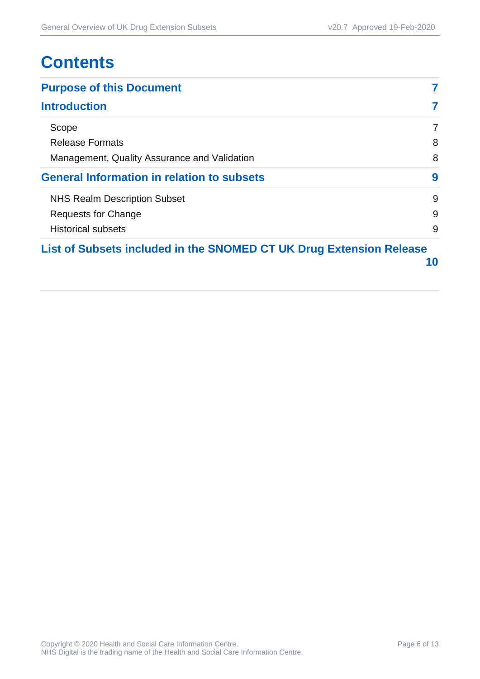## **Contents**

| <b>Purpose of this Document</b>                                     |    |
|---------------------------------------------------------------------|----|
| <b>Introduction</b>                                                 |    |
| Scope                                                               | 7  |
| <b>Release Formats</b>                                              | 8  |
| Management, Quality Assurance and Validation                        | 8  |
| <b>General Information in relation to subsets</b>                   | 9  |
| <b>NHS Realm Description Subset</b>                                 | 9  |
| Requests for Change                                                 | 9  |
| <b>Historical subsets</b>                                           | 9  |
| List of Subsets included in the SNOMED CT UK Drug Extension Release | 10 |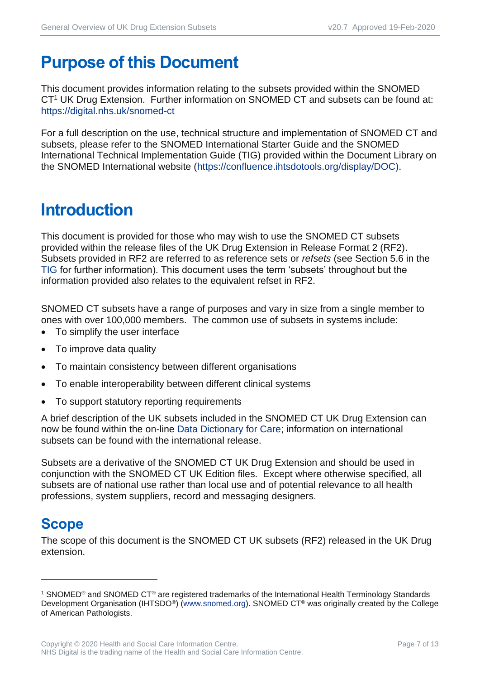## <span id="page-6-0"></span>**Purpose of this Document**

This document provides information relating to the subsets provided within the SNOMED CT<sup>1</sup> UK Drug Extension. Further information on SNOMED CT and subsets can be found at: <https://digital.nhs.uk/snomed-ct>

For a full description on the use, technical structure and implementation of SNOMED CT and subsets, please refer to the SNOMED International Starter Guide and the SNOMED International Technical Implementation Guide (TIG) provided within the Document Library on the SNOMED International website [\(https://confluence.ihtsdotools.org/display/DOC\)](https://confluence.ihtsdotools.org/display/DOC).

## <span id="page-6-1"></span>**Introduction**

This document is provided for those who may wish to use the SNOMED CT subsets provided within the release files of the UK Drug Extension in Release Format 2 (RF2). Subsets provided in RF2 are referred to as reference sets or *refsets* (see Section 5.6 in the [TIG](http://snomed.org/tig) for further information). This document uses the term 'subsets' throughout but the information provided also relates to the equivalent refset in RF2.

SNOMED CT subsets have a range of purposes and vary in size from a single member to ones with over 100,000 members. The common use of subsets in systems include:

- To simplify the user interface
- To improve data quality
- To maintain consistency between different organisations
- To enable interoperability between different clinical systems
- To support statutory reporting requirements

A brief description of the UK subsets included in the SNOMED CT UK Drug Extension can now be found within the on-line [Data Dictionary for Care;](https://dd4c.digital.nhs.uk/dd4c/) information on international subsets can be found with the international release.

Subsets are a derivative of the SNOMED CT UK Drug Extension and should be used in conjunction with the SNOMED CT UK Edition files. Except where otherwise specified, all subsets are of national use rather than local use and of potential relevance to all health professions, system suppliers, record and messaging designers.

## <span id="page-6-2"></span>**Scope**

The scope of this document is the SNOMED CT UK subsets (RF2) released in the UK Drug extension.

<sup>1</sup> SNOMED® and SNOMED CT® are registered trademarks of the International Health Terminology Standards Development Organisation (IHTSDO<sup>®</sup>) [\(www.snomed.org\)](http://www.snomed.org/). SNOMED CT<sup>®</sup> was originally created by the College of American Pathologists.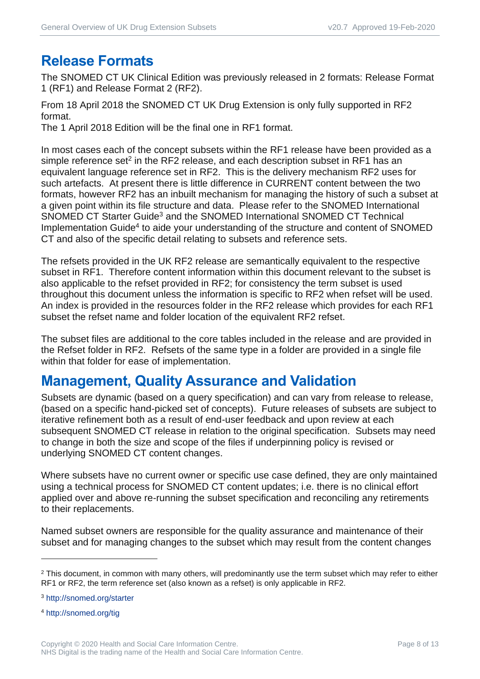#### <span id="page-7-0"></span>**Release Formats**

The SNOMED CT UK Clinical Edition was previously released in 2 formats: Release Format 1 (RF1) and Release Format 2 (RF2).

From 18 April 2018 the SNOMED CT UK Drug Extension is only fully supported in RF2 format.

The 1 April 2018 Edition will be the final one in RF1 format.

In most cases each of the concept subsets within the RF1 release have been provided as a simple reference set<sup>2</sup> in the RF2 release, and each description subset in RF1 has an equivalent language reference set in RF2. This is the delivery mechanism RF2 uses for such artefacts. At present there is little difference in CURRENT content between the two formats, however RF2 has an inbuilt mechanism for managing the history of such a subset at a given point within its file structure and data. Please refer to the SNOMED International SNOMED CT Starter Guide<sup>3</sup> and the SNOMED International SNOMED CT Technical Implementation Guide<sup>4</sup> to aide your understanding of the structure and content of SNOMED CT and also of the specific detail relating to subsets and reference sets.

The refsets provided in the UK RF2 release are semantically equivalent to the respective subset in RF1. Therefore content information within this document relevant to the subset is also applicable to the refset provided in RF2; for consistency the term subset is used throughout this document unless the information is specific to RF2 when refset will be used. An index is provided in the resources folder in the RF2 release which provides for each RF1 subset the refset name and folder location of the equivalent RF2 refset.

The subset files are additional to the core tables included in the release and are provided in the Refset folder in RF2. Refsets of the same type in a folder are provided in a single file within that folder for ease of implementation.

#### <span id="page-7-1"></span>**Management, Quality Assurance and Validation**

Subsets are dynamic (based on a query specification) and can vary from release to release, (based on a specific hand-picked set of concepts). Future releases of subsets are subject to iterative refinement both as a result of end-user feedback and upon review at each subsequent SNOMED CT release in relation to the original specification. Subsets may need to change in both the size and scope of the files if underpinning policy is revised or underlying SNOMED CT content changes.

Where subsets have no current owner or specific use case defined, they are only maintained using a technical process for SNOMED CT content updates; i.e. there is no clinical effort applied over and above re-running the subset specification and reconciling any retirements to their replacements.

Named subset owners are responsible for the quality assurance and maintenance of their subset and for managing changes to the subset which may result from the content changes

<sup>3</sup> <http://snomed.org/starter>

<sup>4</sup> <http://snomed.org/tig>

<sup>&</sup>lt;sup>2</sup> This document, in common with many others, will predominantly use the term subset which may refer to either RF1 or RF2, the term reference set (also known as a refset) is only applicable in RF2.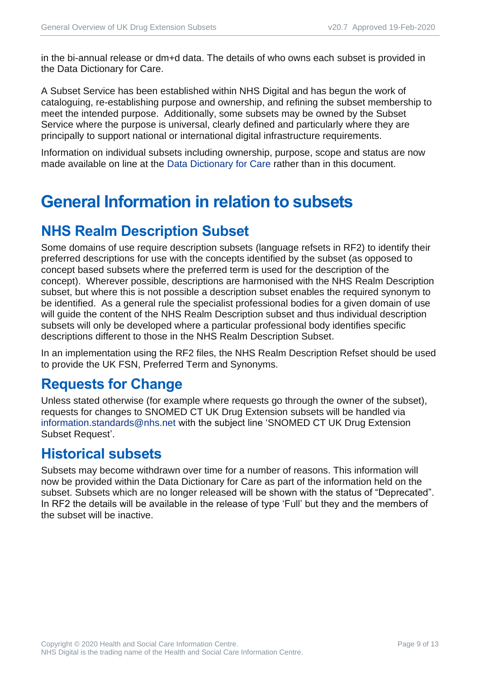in the bi-annual release or dm+d data. The details of who owns each subset is provided in the Data Dictionary for Care.

A Subset Service has been established within NHS Digital and has begun the work of cataloguing, re-establishing purpose and ownership, and refining the subset membership to meet the intended purpose. Additionally, some subsets may be owned by the Subset Service where the purpose is universal, clearly defined and particularly where they are principally to support national or international digital infrastructure requirements.

Information on individual subsets including ownership, purpose, scope and status are now made available on line at the [Data Dictionary for Care](https://dd4c.digital.nhs.uk/dd4c/) rather than in this document.

## <span id="page-8-0"></span>**General Information in relation to subsets**

## <span id="page-8-1"></span>**NHS Realm Description Subset**

Some domains of use require description subsets (language refsets in RF2) to identify their preferred descriptions for use with the concepts identified by the subset (as opposed to concept based subsets where the preferred term is used for the description of the concept). Wherever possible, descriptions are harmonised with the NHS Realm Description subset, but where this is not possible a description subset enables the required synonym to be identified. As a general rule the specialist professional bodies for a given domain of use will guide the content of the NHS Realm Description subset and thus individual description subsets will only be developed where a particular professional body identifies specific descriptions different to those in the NHS Realm Description Subset.

In an implementation using the RF2 files, the NHS Realm Description Refset should be used to provide the UK FSN, Preferred Term and Synonyms.

#### <span id="page-8-2"></span>**Requests for Change**

Unless stated otherwise (for example where requests go through the owner of the subset), requests for changes to SNOMED CT UK Drug Extension subsets will be handled via [information.standards@nhs.net](mailto:information.standards@nhs.net) with the subject line 'SNOMED CT UK Drug Extension Subset Request'.

#### <span id="page-8-3"></span>**Historical subsets**

Subsets may become withdrawn over time for a number of reasons. This information will now be provided within the Data Dictionary for Care as part of the information held on the subset. Subsets which are no longer released will be shown with the status of "Deprecated". In RF2 the details will be available in the release of type 'Full' but they and the members of the subset will be inactive.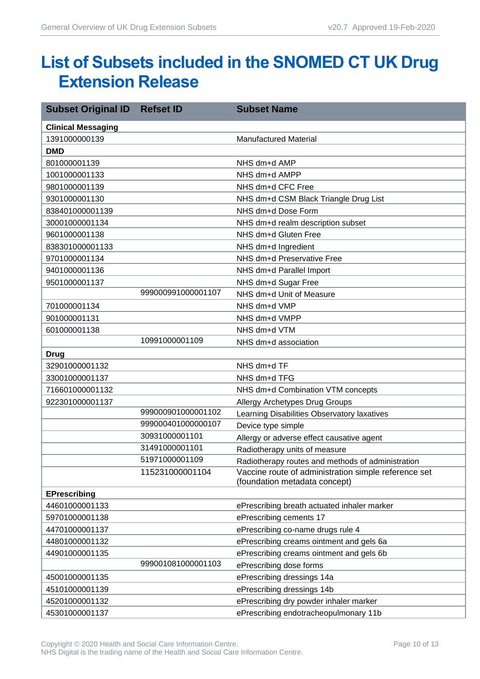## <span id="page-9-0"></span>**List of Subsets included in the SNOMED CT UK Drug Extension Release**

| <b>Subset Original ID</b> | <b>Refset ID</b>   | <b>Subset Name</b>                                                                    |
|---------------------------|--------------------|---------------------------------------------------------------------------------------|
| <b>Clinical Messaging</b> |                    |                                                                                       |
| 1391000000139             |                    | <b>Manufactured Material</b>                                                          |
| <b>DMD</b>                |                    |                                                                                       |
| 801000001139              |                    | NHS dm+d AMP                                                                          |
| 1001000001133             |                    | NHS dm+d AMPP                                                                         |
| 9801000001139             |                    | NHS dm+d CFC Free                                                                     |
| 9301000001130             |                    | NHS dm+d CSM Black Triangle Drug List                                                 |
| 838401000001139           |                    | NHS dm+d Dose Form                                                                    |
| 30001000001134            |                    | NHS dm+d realm description subset                                                     |
| 9601000001138             |                    | NHS dm+d Gluten Free                                                                  |
| 838301000001133           |                    | NHS dm+d Ingredient                                                                   |
| 9701000001134             |                    | NHS dm+d Preservative Free                                                            |
| 9401000001136             |                    | NHS dm+d Parallel Import                                                              |
| 9501000001137             |                    | NHS dm+d Sugar Free                                                                   |
|                           | 999000991000001107 | NHS dm+d Unit of Measure                                                              |
| 701000001134              |                    | NHS dm+d VMP                                                                          |
| 901000001131              |                    | NHS dm+d VMPP                                                                         |
| 601000001138              |                    | NHS dm+d VTM                                                                          |
|                           | 10991000001109     | NHS dm+d association                                                                  |
| <b>Drug</b>               |                    |                                                                                       |
| 32901000001132            |                    | NHS dm+d TF                                                                           |
| 33001000001137            |                    | NHS dm+d TFG                                                                          |
| 716601000001132           |                    | NHS dm+d Combination VTM concepts                                                     |
| 922301000001137           |                    | Allergy Archetypes Drug Groups                                                        |
|                           | 999000901000001102 | Learning Disabilities Observatory laxatives                                           |
|                           | 999000401000000107 | Device type simple                                                                    |
|                           | 30931000001101     | Allergy or adverse effect causative agent                                             |
|                           | 31491000001101     | Radiotherapy units of measure                                                         |
|                           | 51971000001109     | Radiotherapy routes and methods of administration                                     |
|                           | 115231000001104    | Vaccine route of administration simple reference set<br>(foundation metadata concept) |
| <b>EPrescribing</b>       |                    |                                                                                       |
| 44601000001133            |                    | ePrescribing breath actuated inhaler marker                                           |
| 59701000001138            |                    | ePrescribing cements 17                                                               |
| 44701000001137            |                    | ePrescribing co-name drugs rule 4                                                     |
| 44801000001132            |                    | ePrescribing creams ointment and gels 6a                                              |
| 44901000001135            |                    | ePrescribing creams ointment and gels 6b                                              |
|                           | 999001081000001103 | ePrescribing dose forms                                                               |
| 45001000001135            |                    | ePrescribing dressings 14a                                                            |
| 45101000001139            |                    | ePrescribing dressings 14b                                                            |
| 45201000001132            |                    | ePrescribing dry powder inhaler marker                                                |
| 45301000001137            |                    | ePrescribing endotracheopulmonary 11b                                                 |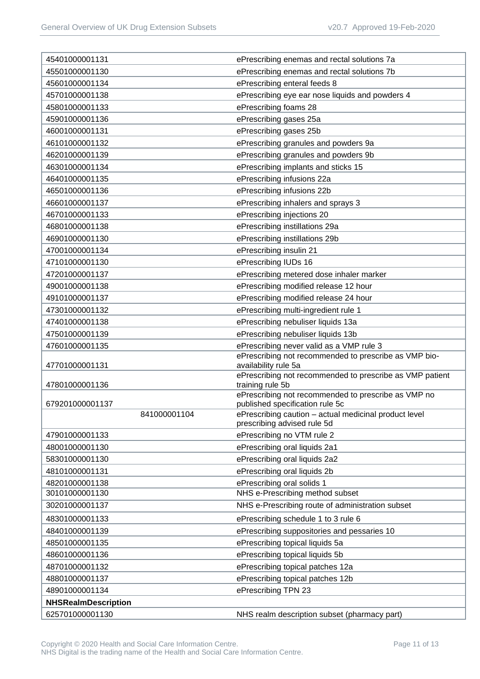| 45401000001131             | ePrescribing enemas and rectal solutions 7a                                          |
|----------------------------|--------------------------------------------------------------------------------------|
| 45501000001130             | ePrescribing enemas and rectal solutions 7b                                          |
| 45601000001134             | ePrescribing enteral feeds 8                                                         |
| 45701000001138             | ePrescribing eye ear nose liquids and powders 4                                      |
| 45801000001133             | ePrescribing foams 28                                                                |
| 45901000001136             | ePrescribing gases 25a                                                               |
| 46001000001131             | ePrescribing gases 25b                                                               |
| 46101000001132             | ePrescribing granules and powders 9a                                                 |
| 46201000001139             | ePrescribing granules and powders 9b                                                 |
| 46301000001134             | ePrescribing implants and sticks 15                                                  |
| 46401000001135             | ePrescribing infusions 22a                                                           |
| 46501000001136             | ePrescribing infusions 22b                                                           |
| 46601000001137             | ePrescribing inhalers and sprays 3                                                   |
| 46701000001133             | ePrescribing injections 20                                                           |
| 46801000001138             | ePrescribing instillations 29a                                                       |
| 46901000001130             | ePrescribing instillations 29b                                                       |
| 47001000001134             | ePrescribing insulin 21                                                              |
| 47101000001130             | ePrescribing IUDs 16                                                                 |
| 47201000001137             | ePrescribing metered dose inhaler marker                                             |
| 49001000001138             | ePrescribing modified release 12 hour                                                |
| 49101000001137             | ePrescribing modified release 24 hour                                                |
| 47301000001132             | ePrescribing multi-ingredient rule 1                                                 |
| 47401000001138             | ePrescribing nebuliser liquids 13a                                                   |
| 47501000001139             | ePrescribing nebuliser liquids 13b                                                   |
| 47601000001135             | ePrescribing never valid as a VMP rule 3                                             |
|                            | ePrescribing not recommended to prescribe as VMP bio-                                |
| 47701000001131             | availability rule 5a<br>ePrescribing not recommended to prescribe as VMP patient     |
| 47801000001136             | training rule 5b                                                                     |
|                            | ePrescribing not recommended to prescribe as VMP no                                  |
| 679201000001137            | published specification rule 5c                                                      |
| 841000001104               | ePrescribing caution - actual medicinal product level<br>prescribing advised rule 5d |
| 47901000001133             | ePrescribing no VTM rule 2                                                           |
| 48001000001130             | ePrescribing oral liquids 2a1                                                        |
| 58301000001130             | ePrescribing oral liquids 2a2                                                        |
| 48101000001131             | ePrescribing oral liquids 2b                                                         |
| 48201000001138             | ePrescribing oral solids 1                                                           |
| 30101000001130             | NHS e-Prescribing method subset                                                      |
| 30201000001137             | NHS e-Prescribing route of administration subset                                     |
| 48301000001133             | ePrescribing schedule 1 to 3 rule 6                                                  |
| 48401000001139             | ePrescribing suppositories and pessaries 10                                          |
| 48501000001135             | ePrescribing topical liquids 5a                                                      |
| 48601000001136             | ePrescribing topical liquids 5b                                                      |
| 48701000001132             | ePrescribing topical patches 12a                                                     |
| 48801000001137             | ePrescribing topical patches 12b                                                     |
| 48901000001134             | ePrescribing TPN 23                                                                  |
| <b>NHSRealmDescription</b> |                                                                                      |
| 625701000001130            | NHS realm description subset (pharmacy part)                                         |
|                            |                                                                                      |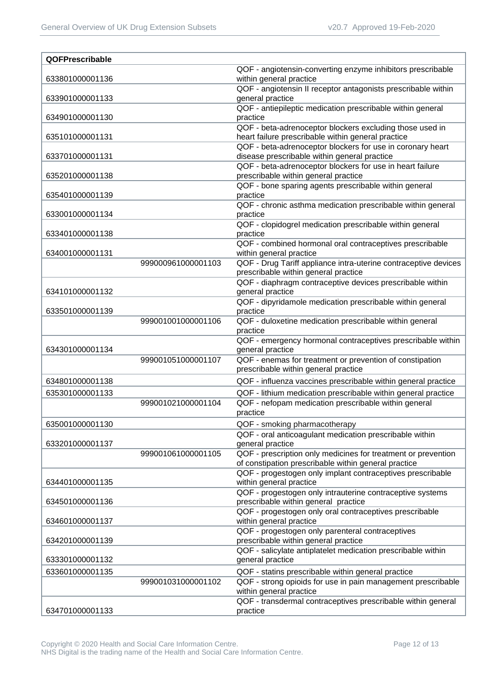| QOFPrescribable |                    |                                                                                                                       |
|-----------------|--------------------|-----------------------------------------------------------------------------------------------------------------------|
| 633801000001136 |                    | QOF - angiotensin-converting enzyme inhibitors prescribable<br>within general practice                                |
| 633901000001133 |                    | QOF - angiotensin II receptor antagonists prescribable within<br>general practice                                     |
| 634901000001130 |                    | QOF - antiepileptic medication prescribable within general<br>practice                                                |
| 635101000001131 |                    | QOF - beta-adrenoceptor blockers excluding those used in<br>heart failure prescribable within general practice        |
| 633701000001131 |                    | QOF - beta-adrenoceptor blockers for use in coronary heart<br>disease prescribable within general practice            |
| 635201000001138 |                    | QOF - beta-adrenoceptor blockers for use in heart failure<br>prescribable within general practice                     |
| 635401000001139 |                    | QOF - bone sparing agents prescribable within general<br>practice                                                     |
| 633001000001134 |                    | QOF - chronic asthma medication prescribable within general<br>practice                                               |
| 633401000001138 |                    | QOF - clopidogrel medication prescribable within general<br>practice                                                  |
| 634001000001131 |                    | QOF - combined hormonal oral contraceptives prescribable<br>within general practice                                   |
|                 | 999000961000001103 | QOF - Drug Tariff appliance intra-uterine contraceptive devices<br>prescribable within general practice               |
| 634101000001132 |                    | QOF - diaphragm contraceptive devices prescribable within<br>general practice                                         |
| 633501000001139 |                    | QOF - dipyridamole medication prescribable within general<br>practice                                                 |
|                 | 999001001000001106 | QOF - duloxetine medication prescribable within general<br>practice                                                   |
| 634301000001134 |                    | QOF - emergency hormonal contraceptives prescribable within<br>general practice                                       |
|                 | 999001051000001107 | QOF - enemas for treatment or prevention of constipation<br>prescribable within general practice                      |
| 634801000001138 |                    | QOF - influenza vaccines prescribable within general practice                                                         |
| 635301000001133 |                    | QOF - lithium medication prescribable within general practice                                                         |
|                 | 999001021000001104 | QOF - nefopam medication prescribable within general<br>practice                                                      |
| 635001000001130 |                    | QOF - smoking pharmacotherapy                                                                                         |
| 633201000001137 |                    | QOF - oral anticoagulant medication prescribable within<br>general practice                                           |
|                 | 999001061000001105 | QOF - prescription only medicines for treatment or prevention<br>of constipation prescribable within general practice |
| 634401000001135 |                    | QOF - progestogen only implant contraceptives prescribable<br>within general practice                                 |
| 634501000001136 |                    | QOF - progestogen only intrauterine contraceptive systems<br>prescribable within general practice                     |
| 634601000001137 |                    | QOF - progestogen only oral contraceptives prescribable<br>within general practice                                    |
| 634201000001139 |                    | QOF - progestogen only parenteral contraceptives<br>prescribable within general practice                              |
| 633301000001132 |                    | QOF - salicylate antiplatelet medication prescribable within<br>general practice                                      |
| 633601000001135 |                    | QOF - statins prescribable within general practice                                                                    |
|                 | 999001031000001102 | QOF - strong opioids for use in pain management prescribable<br>within general practice                               |
| 634701000001133 |                    | QOF - transdermal contraceptives prescribable within general<br>practice                                              |